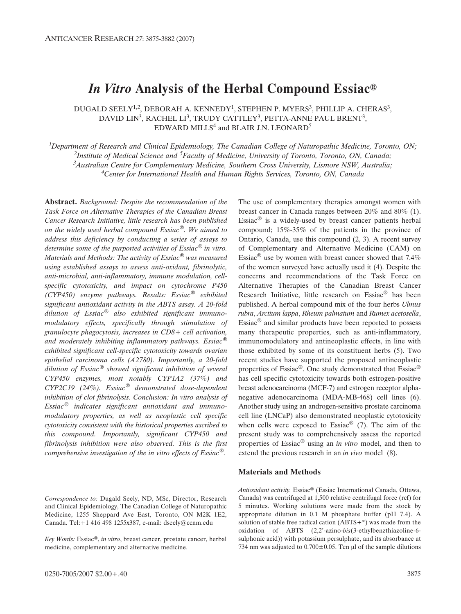# *In Vitro* **Analysis of the Herbal Compound Essiac®**

DUGALD SEELY<sup>1,2</sup>, DEBORAH A. KENNEDY<sup>1</sup>, STEPHEN P. MYERS<sup>3</sup>, PHILLIP A. CHERAS<sup>3</sup>, DAVID LIN<sup>3</sup>, RACHEL LI<sup>3</sup>, TRUDY CATTLEY<sup>3</sup>, PETTA-ANNE PAUL BRENT<sup>3</sup>, EDWARD MILLS<sup>4</sup> and BLAIR J.N. LEONARD<sup>5</sup>

*1Department of Research and Clinical Epidemiology, The Canadian College of Naturopathic Medicine, Toronto, ON; 2Institute of Medical Science and 5Faculty of Medicine, University of Toronto, Toronto, ON, Canada; 3Australian Centre for Complementary Medicine, Southern Cross University, Lismore NSW, Australia; 4Center for International Health and Human Rights Services, Toronto, ON, Canada*

**Abstract.** *Background: Despite the recommendation of the Task Force on Alternative Therapies of the Canadian Breast Cancer Research Initiative, little research has been published on the widely used herbal compound Essiac®. We aimed to address this deficiency by conducting a series of assays to determine some of the purported activities of Essiac® in vitro. Materials and Methods: The activity of Essiac® was measured using established assays to assess anti-oxidant, fibrinolytic, anti-microbial, anti-inflammatory, immune modulation, cellspecific cytotoxicity, and impact on cytochrome P450 (CYP450) enzyme pathways. Results: Essiac® exhibited significant antioxidant activity in the ABTS assay. A 20-fold dilution of Essiac® also exhibited significant immunomodulatory effects, specifically through stimulation of granulocyte phagocytosis, increases in CD8+ cell activation, and moderately inhibiting inflammatory pathways. Essiac® exhibited significant cell-specific cytotoxicity towards ovarian epithelial carcinoma cells (A2780). Importantly, a 20-fold dilution of Essiac® showed significant inhibition of several CYP450 enzymes, most notably CYP1A2 (37%) and CYP2C19 (24%). Essiac® demonstrated dose-dependent inhibition of clot fibrinolysis. Conclusion: In vitro analysis of Essiac® indicates significant antioxidant and immunomodulatory properties, as well as neoplastic cell specific cytotoxicity consistent with the historical properties ascribed to this compound. Importantly, significant CYP450 and fibrinolysis inhibition were also observed. This is the first comprehensive investigation of the in vitro effects of Essiac®.* 

*Correspondence to:* Dugald Seely, ND, MSc, Director, Research and Clinical Epidemiology, The Canadian College of Naturopathic Medicine, 1255 Sheppard Ave East, Toronto, ON M2K 1E2, Canada. Tel:+1 416 498 1255x387, e-mail: dseely@ccnm.edu

*Key Words:* Essiac®, *in vitro*, breast cancer, prostate cancer, herbal medicine, complementary and alternative medicine.

The use of complementary therapies amongst women with breast cancer in Canada ranges between 20% and 80% (1). Essiac® is a widely-used by breast cancer patients herbal compound; 15%-35% of the patients in the province of Ontario, Canada, use this compound (2, 3). A recent survey of Complementary and Alternative Medicine (CAM) on Essiac<sup>®</sup> use by women with breast cancer showed that  $7.4\%$ of the women surveyed have actually used it (4). Despite the concerns and recommendations of the Task Force on Alternative Therapies of the Canadian Breast Cancer Research Initiative, little research on Essiac® has been published. A herbal compound mix of the four herbs *Ulmus rubra*, *Arctium lappa*, *Rheum palmatum* and *Rumex acetosella*, Essiac® and similar products have been reported to possess many therapeutic properties, such as anti-inflammatory, immunomodulatory and antineoplastic effects, in line with those exhibited by some of its constituent herbs (5). Two recent studies have supported the proposed antineoplastic properties of Essiac®. One study demonstrated that Essiac® has cell specific cytotoxicity towards both estrogen-positive breast adenocarcinoma (MCF-7) and estrogen receptor alphanegative adenocarcinoma (MDA-MB-468) cell lines (6). Another study using an androgen-sensitive prostate carcinoma cell line (LNCaP) also demonstrated neoplastic cytotoxicity when cells were exposed to  $Essiac^{\circledR}$  (7). The aim of the present study was to comprehensively assess the reported properties of Essiac® using an *in vitro* model, and then to extend the previous research in an *in vivo* model (8).

#### **Materials and Methods**

*Antioxidant activity.* Essiac® (Essiac International Canada, Ottawa, Canada) was centrifuged at 1,500 relative centrifugal force (rcf) for 5 minutes. Working solutions were made from the stock by appropriate dilution in 0.1 M phosphate buffer (pH 7.4). A solution of stable free radical cation (ABTS+\*) was made from the oxidation of ABTS (2,2'-azino-*bis*(3-ethylbenzthiazoline-6 sulphonic acid)) with potassium persulphate, and its absorbance at 734 nm was adjusted to  $0.700 \pm 0.05$ . Ten µl of the sample dilutions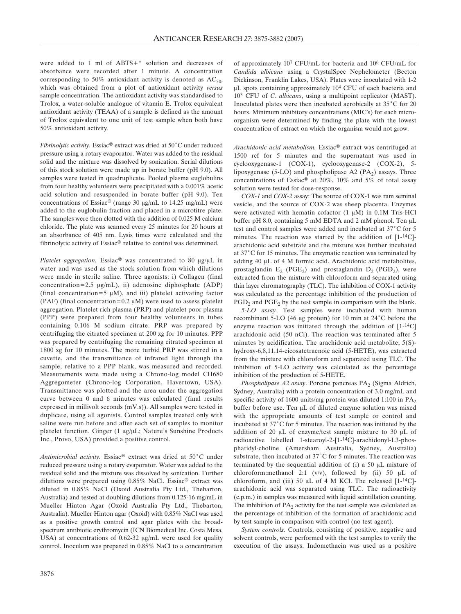were added to 1 ml of ABTS+\* solution and decreases of absorbance were recorded after 1 minute. A concentration corresponding to 50% antioxidant activity is denoted as  $AC_{50}$ , which was obtained from a plot of antioxidant activity *versus* sample concentration. The antioxidant activity was standardised to Trolox, a water-soluble analogue of vitamin E. Trolox equivalent antioxidant activity (TEAA) of a sample is defined as the amount of Trolox equivalent to one unit of test sample when both have 50% antioxidant activity.

*Fibrinolytic activity.* Essiac<sup>®</sup> extract was dried at 50°C under reduced pressure using a rotary evaporator. Water was added to the residual solid and the mixture was dissolved by sonication. Serial dilutions of this stock solution were made up in borate buffer (pH 9.0). All samples were tested in quadruplicate. Pooled plasma euglobulins from four healthy volunteers were precipitated with a 0.001% acetic acid solution and resuspended in borate buffer (pH 9.0). Ten concentrations of Essiac<sup>®</sup> (range 30  $\mu$ g/mL to 14.25 mg/mL) were added to the euglobulin fraction and placed in a microtitre plate. The samples were then clotted with the addition of 0.025 M calcium chloride. The plate was scanned every 25 minutes for 20 hours at an absorbance of 405 nm. Lysis times were calculated and the fibrinolytic activity of Essiac® relative to control was determined.

*Platelet aggregation.* Essiac<sup>®</sup> was concentrated to 80  $\mu$ g/ $\mu$ L in water and was used as the stock solution from which dilutions were made in sterile saline. Three agonists: i) Collagen (final concentration=2.5  $\mu$ g/mL), ii) adenosine diphosphate (ADP) (final concentration=5  $\mu$ M), and iii) platelet activating factor (PAF) (final concentration=0.2  $\mu$ M) were used to assess platelet aggregation. Platelet rich plasma (PRP) and platelet poor plasma (PPP) were prepared from four healthy volunteers in tubes containing 0.106 M sodium citrate. PRP was prepared by centrifuging the citrated specimen at 200 xg for 10 minutes. PPP was prepared by centrifuging the remaining citrated specimen at 1800 xg for 10 minutes. The more turbid PRP was stirred in a cuvette, and the transmittance of infrared light through the sample, relative to a PPP blank, was measured and recorded. Measurements were made using a Chrono-log model CH680 Aggregometer (Chrono-log Corporation, Havertown, USA). Transmittance was plotted and the area under the aggregation curve between 0 and 6 minutes was calculated (final results expressed in millivolt seconds (mV.s)). All samples were tested in duplicate, using all agonists. Control samples treated only with saline were run before and after each set of samples to monitor platelet function. Ginger (1 µg/µL; Nature's Sunshine Products Inc., Provo, USA) provided a positive control.

*Antimicrobial activity.* Essiac<sup>®</sup> extract was dried at 50°C under reduced pressure using a rotary evaporator. Water was added to the residual solid and the mixture was dissolved by sonication. Further dilutions were prepared using 0.85% NaCl. Essiac® extract was diluted in 0.85% NaCl (Oxoid Australia Pty Ltd., Thebarton, Australia) and tested at doubling dilutions from 0.125-16 mg/mL in Mueller Hinton Agar (Oxoid Australia Pty Ltd., Thebarton, Australia). Mueller Hinton agar (Oxoid) with 0.85% NaCl was used as a positive growth control and agar plates with the broadspectrum antibiotic erythromycin (ICN Biomedical Inc. Costa Mesa, USA) at concentrations of  $0.62-32 \mu g/mL$  were used for quality control. Inoculum was prepared in 0.85% NaCl to a concentration of approximately 107 CFU/mL for bacteria and 106 CFU/mL for *Candida albicans* using a CrystalSpec Nephelometer (Becton Dickinson, Franklin Lakes, USA). Plates were inoculated with 1-2  $\mu$ L spots containing approximately 10<sup>4</sup> CFU of each bacteria and 103 CFU of *C. albicans*, using a multipoint replicator (MAST). Inoculated plates were then incubated aerobically at  $35^{\circ}$ C for 20 hours. Minimum inhibitory concentrations (MIC's) for each microorganism were determined by finding the plate with the lowest concentration of extract on which the organism would not grow.

*Arachidonic acid metabolism.* Essiac® extract was centrifuged at 1500 rcf for 5 minutes and the supernatant was used in cyclooxygenase-1 (COX-1), cyclooxygenase-2 (COX-2), 5 lipoxygenase (5-LO) and phospholipase  $A2$  (PA<sub>2</sub>) assays. Three concentrations of Essiac<sup>®</sup> at 20%, 10% and 5% of total assay solution were tested for dose-response.

*COX-1* and *COX-2* assay: The source of COX-1 was ram seminal vesicle, and the source of COX-2 was sheep placenta. Enzymes were activated with hematin cofactor  $(1 \mu M)$  in 0.1M Tris-HCl buffer pH 8.0, containing 5 mM EDTA and 2 mM phenol. Ten  $\mu$ L test and control samples were added and incubated at 37°C for 5 minutes. The reaction was started by the addition of [1-14C] arachidonic acid substrate and the mixture was further incubated at  $37^{\circ}$ C for 15 minutes. The enzymatic reaction was terminated by adding 40 µL of 4 M formic acid. Arachidonic acid metabolites, prostaglandin  $E_2$  (PGE<sub>2</sub>) and prostaglandin  $D_2$  (PGD<sub>2</sub>), were extracted from the mixture with chloroform and separated using thin layer chromatography (TLC). The inhibition of COX-1 activity was calculated as the percentage inhibition of the production of  $PGD<sub>2</sub>$  and  $PGE<sub>2</sub>$  by the test sample in comparison with the blank.

*5-LO assay.* Test samples were incubated with human recombinant 5-LO (46  $\mu$ g protein) for 10 min at 24 $^{\circ}$ C before the enzyme reaction was initiated through the addition of [1-14C] arachidonic acid (50 nCi). The reaction was terminated after 5 minutes by acidification. The arachidonic acid metabolite, 5(S) hydroxy-6,8,11,14-eicosatetraenoic acid (5-HETE), was extracted from the mixture with chloroform and separated using TLC. The inhibition of 5-LO activity was calculated as the percentage inhibition of the production of 5-HETE.

*Phospholipase A2 assay*. Porcine pancreas PA<sub>2</sub> (Sigma Aldrich, Sydney, Australia) with a protein concentration of 3.0 mg/mL and specific activity of 1600 units/mg protein was diluted 1:100 in  $PA<sub>2</sub>$ buffer before use. Ten µL of diluted enzyme solution was mixed with the appropriate amounts of test sample or control and incubated at  $37^{\circ}$ C for 5 minutes. The reaction was initiated by the addition of 20  $\mu$ L of enzyme/test sample mixture to 30  $\mu$ L of radioactive labelled 1-stearoyl-2-[1-14C]-arachidonyl-L3-phosphatidyl-choline (Amersham Australia, Sydney, Australia) substrate, then incubated at  $37^{\circ}$ C for 5 minutes. The reaction was terminated by the sequential addition of (i) a 50  $\mu$ L mixture of chloroform:methanol 2:1  $(v/v)$ , followed by (ii) 50  $\mu$ L of chloroform, and (iii) 50  $\mu$ L of 4 M KCl. The released [1-<sup>14</sup>C]arachidonic acid was separated using TLC. The radioactivity (c.p.m.) in samples was measured with liquid scintillation counting. The inhibition of  $PA<sub>2</sub>$  activity for the test sample was calculated as the percentage of inhibition of the formation of arachidonic acid by test sample in comparison with control (no test agent).

*System controls.* Controls, consisting of positive, negative and solvent controls, were performed with the test samples to verify the execution of the assays. Indomethacin was used as a positive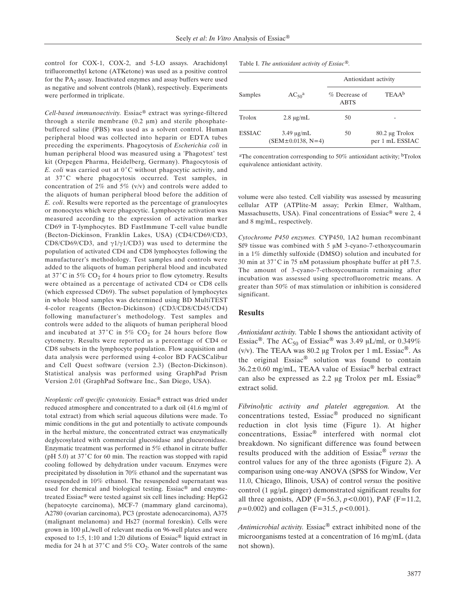control for COX-1, COX-2, and 5-LO assays. Arachidonyl trifluoromethyl ketone (ATKetone) was used as a positive control for the  $PA<sub>2</sub>$  assay. Inactivated enzymes and assay buffers were used as negative and solvent controls (blank), respectively. Experiments were performed in triplicate.

*Cell-based immunoactivity.* Essiac® extract was syringe-filtered through a sterile membrane  $(0.2 \mu m)$  and sterile phosphatebuffered saline (PBS) was used as a solvent control. Human peripheral blood was collected into heparin or EDTA tubes preceding the experiments. Phagocytosis of *Escherichia coli* in human peripheral blood was measured using a 'Phagotest' test kit (Orpegen Pharma, Heidelberg, Germany). Phagocytosis of *E. coli* was carried out at 0°C without phagocytic activity, and at 37°C where phagocytosis occurred. Test samples, in concentration of 2% and 5% ( $v/v$ ) and controls were added to the aliquots of human peripheral blood before the addition of *E. coli*. Results were reported as the percentage of granulocytes or monocytes which were phagocytic. Lymphocyte activation was measured according to the expression of activation marker CD69 in T-lymphocytes. BD FastImmune T-cell value bundle (Becton-Dickinson, Franklin Lakes, USA) (CD4/CD69/CD3, CD8/CD69/CD3, and  $\gamma$ 1/ $\gamma$ 1/CD3) was used to determine the population of activated CD4 and CD8 lymphocytes following the manufacturer's methodology. Test samples and controls were added to the aliquots of human peripheral blood and incubated at 37°C in 5%  $CO<sub>2</sub>$  for 4 hours prior to flow cytometry. Results were obtained as a percentage of activated CD4 or CD8 cells (which expressed CD69). The subset population of lymphocytes in whole blood samples was determined using BD MultiTEST 4-color reagents (Becton-Dickinson) (CD3/CD8/CD45/CD4) following manufacturer's methodology. Test samples and controls were added to the aliquots of human peripheral blood and incubated at 37°C in 5%  $CO<sub>2</sub>$  for 24 hours before flow cytometry. Results were reported as a percentage of CD4 or CD8 subsets in the lymphocyte population. Flow acquisition and data analysis were performed using 4-color BD FACSCalibur and Cell Quest software (version 2.3) (Becton-Dickinson). Statistical analysis was performed using GraphPad Prism Version 2.01 (GraphPad Software Inc., San Diego, USA).

*Neoplastic cell specific cytotoxicity.* Essiac® extract was dried under reduced atmosphere and concentrated to a dark oil (41.6 mg/ml of total extract) from which serial aqueous dilutions were made. To mimic conditions in the gut and potentially to activate compounds in the herbal mixture, the concentrated extract was enzymatically deglycosylated with commercial glucosidase and glucuronidase. Enzymatic treatment was performed in 5% ethanol in citrate buffer (pH 5.0) at  $37^{\circ}$ C for 60 min. The reaction was stopped with rapid cooling followed by dehydration under vacuum. Enzymes were precipitated by dissolution in 70% ethanol and the supernatant was resuspended in 10% ethanol. The resuspended supernatant was used for chemical and biological testing. Essiac® and enzymetreated Essiac® were tested against six cell lines including: HepG2 (hepatocyte carcinoma), MCF-7 (mammary gland carcinoma), A2780 (ovarian carcinoma), PC3 (prostate adenocarcinoma), A375 (malignant melanoma) and Hs27 (normal foreskin). Cells were grown in 100 µL/well of relevant media on 96-well plates and were exposed to 1:5, 1:10 and 1:20 dilutions of Essiac® liquid extract in media for 24 h at 37°C and 5% CO<sub>2</sub>. Water controls of the same

Table I. *The antioxidant activity of Essiac®.* 

|               | $AC_{50}^{\text{a}}$                   | Antioxidant activity         |                                        |  |
|---------------|----------------------------------------|------------------------------|----------------------------------------|--|
| Samples       |                                        | % Decrease of<br><b>ABTS</b> | TEAAb                                  |  |
| Trolox        | $2.8 \mu g/mL$                         | 50                           |                                        |  |
| <b>ESSIAC</b> | $3.49 \mu g/mL$<br>$(SEM±0.0138, N=4)$ | 50                           | $80.2 \mu$ g Trolox<br>per 1 mL ESSIAC |  |

aThe concentration corresponding to 50% antioxidant activity; bTrolox equivalence antioxidant activity.

volume were also tested. Cell viability was assessed by measuring cellular ATP (ATPlite-M assay; Perkin Elmer, Waltham, Massachusetts, USA). Final concentrations of Essiac® were 2, 4 and 8 mg/mL, respectively.

*Cytochrome P450 enzymes.* CYP450, 1A2 human recombinant Sf9 tissue was combined with  $5 \mu M$  3-cyano-7-ethoxycoumarin in a 1% dimethly sulfoxide (DMSO) solution and incubated for 30 min at  $37^{\circ}$ C in 75 nM potassium phosphate buffer at pH 7.5. The amount of 3-cyano-7-ethoxycoumarin remaining after incubation was assessed using spectrofluorometric means. A greater than 50% of max stimulation or inhibition is considered significant.

#### **Results**

*Antioxidant activity.* Table I shows the antioxidant activity of Essiac<sup>®</sup>. The AC<sub>50</sub> of Essiac<sup>®</sup> was 3.49 µL/ml, or 0.349% (v/v). The TEAA was 80.2 µg Trolox per 1 mL Essiac<sup>®</sup>. As the original Essiac® solution was found to contain  $36.2 \pm 0.60$  mg/mL, TEAA value of Essiac<sup>®</sup> herbal extract can also be expressed as 2.2 µg Trolox per mL Essiac<sup>®</sup> extract solid.

*Fibrinolytic activity and platelet aggregation.* At the concentrations tested, Essiac® produced no significant reduction in clot lysis time (Figure 1). At higher concentrations, Essiac® interfered with normal clot breakdown. No significant difference was found between results produced with the addition of Essiac® *versus* the control values for any of the three agonists (Figure 2). A comparison using one-way ANOVA (SPSS for Window, Ver 11.0, Chicago, Illinois, USA) of control *versus* the positive control (1  $\mu$ g/ $\mu$ L ginger) demonstrated significant results for all three agonists, ADP (F=56.3, *p<*0.001), PAF (F=11.2, *p=*0.002) and collagen (F=31.5, *p<*0.001).

*Antimicrobial activity.* Essiac® extract inhibited none of the microorganisms tested at a concentration of 16 mg/mL (data not shown).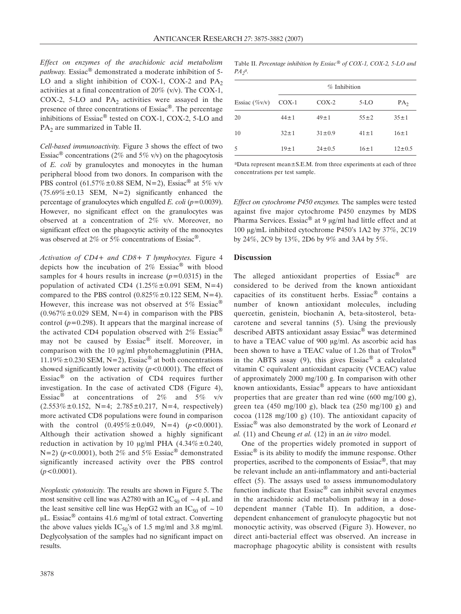*Effect on enzymes of the arachidonic acid metabolism pathway.* Essiac® demonstrated a moderate inhibition of 5- LO and a slight inhibition of COX-1, COX-2 and  $PA<sub>2</sub>$ activities at a final concentration of 20% (v/v). The COX-1, COX-2, 5-LO and  $PA<sub>2</sub>$  activities were assayed in the presence of three concentrations of Essiac®. The percentage inhibitions of Essiac® tested on COX-1, COX-2, 5-LO and  $PA<sub>2</sub>$  are summarized in Table II.

*Cell-based immunoactivity.* Figure 3 shows the effect of two Essiac<sup>®</sup> concentrations (2% and 5% v/v) on the phagocytosis of *E. coli* by granulocytes and monocytes in the human peripheral blood from two donors. In comparison with the PBS control (61.57% $\pm$ 0.88 SEM, N=2), Essiac<sup>®</sup> at 5% v/v  $(75.69\% \pm 0.13$  SEM, N=2) significantly enhanced the percentage of granulocytes which engulfed *E. coli* (*p=*0.0039). However, no significant effect on the granulocytes was observed at a concentration of 2% v/v. Moreover, no significant effect on the phagocytic activity of the monocytes was observed at 2% or 5% concentrations of Essiac<sup>®</sup>.

*Activation of CD4+ and CD8+ T lymphocytes.* Figure 4 depicts how the incubation of  $2\%$  Essiac<sup>®</sup> with blood samples for 4 hours results in increase (*p=*0.0315) in the population of activated CD4  $(1.25\% \pm 0.091$  SEM, N=4) compared to the PBS control  $(0.825\% \pm 0.122$  SEM, N=4). However, this increase was not observed at 5% Essiac<sup>®</sup>  $(0.967\% \pm 0.029 \text{ SEM}, N=4)$  in comparison with the PBS control (*p=*0.298). It appears that the marginal increase of the activated CD4 population observed with  $2\%$  Essiac<sup>®</sup> may not be caused by Essiac® itself. Moreover, in comparison with the 10  $\mu$ g/ml phytohemagglutinin (PHA,  $11.19\% \pm 0.230$  SEM, N=2), Essiac<sup>®</sup> at both concentrations showed significantly lower activity (*p<*0.0001). The effect of Essiac® on the activation of CD4 requires further investigation. In the case of activated CD8 (Figure 4), Essiac<sup>®</sup> at concentrations of 2% and 5% v/v  $(2.553\% \pm 0.152, N=4; 2.785 \pm 0.217, N=4, respectively)$ more activated CD8 populations were found in comparison with the control (0.495%±0.049, N=4) (*p<*0.0001). Although their activation showed a highly significant reduction in activation by 10  $\mu$ g/ml PHA (4.34% $\pm$ 0.240, N=2) ( $p$ <0.0001), both 2% and 5% Essiac<sup>®</sup> demonstrated significantly increased activity over the PBS control (*p<*0.0001).

*Neoplastic cytotoxicity.* The results are shown in Figure 5. The most sensitive cell line was A2780 with an IC<sub>50</sub> of  $\sim$  4 µL and the least sensitive cell line was HepG2 with an IC<sub>50</sub> of  $\sim$  10  $\mu$ L. Essiac<sup>®</sup> contains 41.6 mg/ml of total extract. Converting the above values yields  $IC_{50}$ 's of 1.5 mg/ml and 3.8 mg/ml. Deglycolysation of the samples had no significant impact on results.

Table II. *Percentage inhibition by Essiac® of COX-1, COX-2, 5-LO and PA2 a.*

|                  | $%$ Inhibition |              |            |                 |  |
|------------------|----------------|--------------|------------|-----------------|--|
| Essiac $(\%v/v)$ | $COX-1$        | $COX-2$      | $5-LO$     | PA <sub>2</sub> |  |
| 20               | $44 \pm 1$     | $49 \pm 1$   | $55 \pm 2$ | $35 \pm 1$      |  |
| 10               | $32 + 1$       | $31 \pm 0.9$ | $41 \pm 1$ | $16 \pm 1$      |  |
| 5                | $19 \pm 1$     | $24 \pm 0.5$ | $16 \pm 1$ | $12 \pm 0.5$    |  |

aData represent mean±S.E.M. from three experiments at each of three concentrations per test sample.

*Effect on cytochrome P450 enzymes.* The samples were tested against five major cytochrome P450 enzymes by MDS Pharma Services. Essiac<sup>®</sup> at 9  $\mu$ g/ml had little effect and at 100 µg/mL inhibited cytochrome P450's 1A2 by 37%, 2C19 by 24%, 2C9 by 13%, 2D6 by 9% and 3A4 by 5%.

### **Discussion**

The alleged antioxidant properties of Essiac<sup>®</sup> are considered to be derived from the known antioxidant capacities of its constituent herbs. Essiac® contains a number of known antioxidant molecules, including quercetin, genistein, biochanin A, beta-sitosterol, betacarotene and several tannins (5). Using the previously described ABTS antioxidant assay Essiac® was determined to have a TEAC value of  $900 \text{ µg/ml}$ . As ascorbic acid has been shown to have a TEAC value of 1.26 that of Trolox® in the ABTS assay  $(9)$ , this gives Essiac® a calculated vitamin C equivalent antioxidant capacity (VCEAC) value of approximately 2000 mg/100 g. In comparison with other known antioxidants, Essiac® appears to have antioxidant properties that are greater than red wine (600 mg/100 g), green tea (450 mg/100 g), black tea (250 mg/100 g) and cocoa (1128 mg/100 g) (10). The antioxidant capacity of Essiac® was also demonstrated by the work of Leonard *et al.* (11) and Cheung *et al.* (12) in an *in vitro* model.

One of the properties widely promoted in support of Essiac $\mathbb{B}$  is its ability to modify the immune response. Other properties, ascribed to the components of Essiac®, that may be relevant include an anti-inflammatory and anti-bacterial effect (5). The assays used to assess immunomodulatory function indicate that Essiac® can inhibit several enzymes in the arachidonic acid metabolism pathway in a dosedependent manner (Table II). In addition, a dosedependent enhancement of granulocyte phagocytic but not monocytic activity, was observed (Figure 3). However, no direct anti-bacterial effect was observed. An increase in macrophage phagocytic ability is consistent with results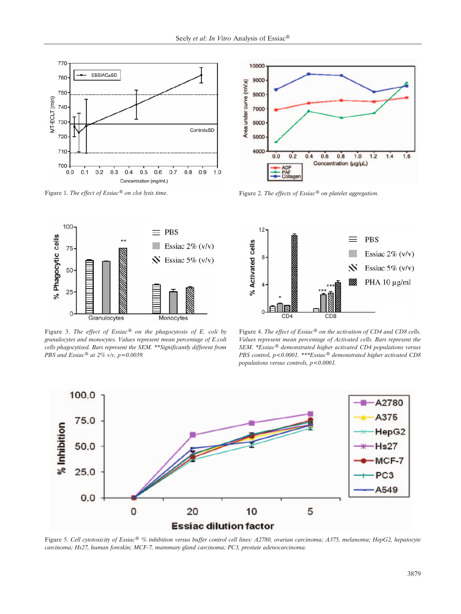



Figure 3. *The effect of Essiac® on the phagocytosis of E. coli by granulocytes and monocytes. Values represent mean percentage of E.coli cells phagocytised. Bars represent the SEM. \*\*Significantly different from PBS and Essiac® at 2% v/v, p=0.0039.*



Figure 1. *The effect of Essiac® on clot lysis time.* Figure 2. *The effects of Essiac® on platelet aggregation.*



Figure 4. *The effect of Essiac® on the activation of CD4 and CD8 cells. Values represent mean percentage of Activated cells. Bars represent the SEM. \*Essiac® demonstrated higher activated CD4 populations versus PBS control, p<0.0001. \*\*\*Essiac® demonstrated higher activated CD8 populations versus controls, p<0.0001.*



Figure 5. *Cell cytotoxicity of Essiac® % inhibition versus buffer control cell lines: A2780, ovarian carcinoma; A375, melanoma; HepG2, hepatocyte carcinoma; Hs27, human foreskin; MCF-7, mammary gland carcinoma; PC3, prostate adenocarcinoma.*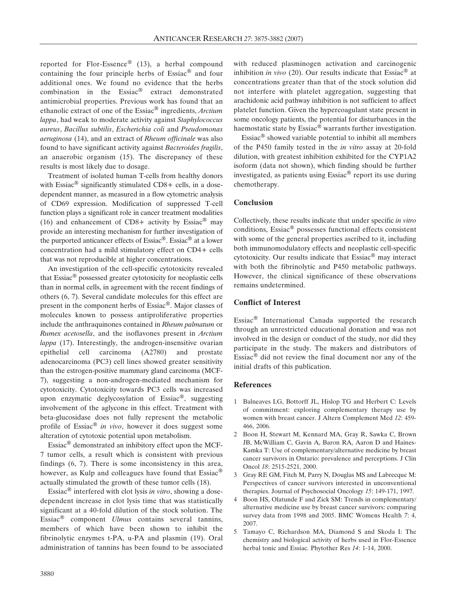reported for Flor-Essence® (13), a herbal compound containing the four principle herbs of Essiac® and four additional ones. We found no evidence that the herbs combination in the Essiac® extract demonstrated antimicrobial properties. Previous work has found that an ethanolic extract of one of the Essiac® ingredients, *Arctium lappa*, had weak to moderate activity against *Staphylococcus aureus*, *Bacillus subtilis*, *Escherichia coli* and *Pseudomonas aeruginosa* (14), and an extract of *Rheum officinale* was also found to have significant activity against *Bacteroides fragilis*, an anaerobic organism (15). The discrepancy of these results is most likely due to dosage.

Treatment of isolated human T-cells from healthy donors with Essiac<sup>®</sup> significantly stimulated CD8+ cells, in a dosedependent manner, as measured in a flow cytometric analysis of CD69 expression. Modification of suppressed T-cell function plays a significant role in cancer treatment modalities (16) and enhancement of CD8+ activity by Essiac<sup>®</sup> may provide an interesting mechanism for further investigation of the purported anticancer effects of Essiac®. Essiac® at a lower concentration had a mild stimulatory effect on CD4+ cells that was not reproducible at higher concentrations.

An investigation of the cell-specific cytotoxicity revealed that Essiac® possessed greater cytotoxicity for neoplastic cells than in normal cells, in agreement with the recent findings of others (6, 7). Several candidate molecules for this effect are present in the component herbs of Essiac®. Major classes of molecules known to possess antiproliferative properties include the anthraquinones contained in *Rheum palmatum* or *Rumex acetosella*, and the isoflavones present in *Arctium lappa* (17). Interestingly, the androgen-insensitive ovarian epithelial cell carcinoma (A2780) and prostate adenocarcinoma (PC3) cell lines showed greater sensitivity than the estrogen-positive mammary gland carcinoma (MCF-7), suggesting a non-androgen-mediated mechanism for cytotoxicity. Cytotoxicity towards PC3 cells was increased upon enzymatic deglycosylation of Essiac®, suggesting involvement of the aglycone in this effect. Treatment with beta-glucosidase does not fully represent the metabolic profile of Essiac® *in vivo*, however it does suggest some alteration of cytotoxic potential upon metabolism.

Essiac® demonstrated an inhibitory effect upon the MCF-7 tumor cells, a result which is consistent with previous findings (6, 7). There is some inconsistency in this area, however, as Kulp and colleagues have found that  $Essiac^{\mathcal{R}}$ actually stimulated the growth of these tumor cells (18).

Essiac® interfered with clot lysis *in vitro*, showing a dosedependent increase in clot lysis time that was statistically significant at a 40-fold dilution of the stock solution. The Essiac® component *Ulmus* contains several tannins, members of which have been shown to inhibit the fibrinolytic enzymes t-PA, u-PA and plasmin (19). Oral administration of tannins has been found to be associated with reduced plasminogen activation and carcinogenic inhibition *in vivo* (20). Our results indicate that Essiac® at concentrations greater than that of the stock solution did not interfere with platelet aggregation, suggesting that arachidonic acid pathway inhibition is not sufficient to affect platelet function. Given the hypercoagulant state present in some oncology patients, the potential for disturbances in the haemostatic state by Essiac® warrants further investigation.

Essiac® showed variable potential to inhibit all members of the P450 family tested in the *in vitro* assay at 20-fold dilution, with greatest inhibition exhibited for the CYP1A2 isoform (data not shown), which finding should be further investigated, as patients using Essiac® report its use during chemotherapy.

## **Conclusion**

Collectively, these results indicate that under specific *in vitro* conditions, Essiac® possesses functional effects consistent with some of the general properties ascribed to it, including both immunomodulatory effects and neoplastic cell-specific cytotoxicity. Our results indicate that Essiac® may interact with both the fibrinolytic and P450 metabolic pathways. However, the clinical significance of these observations remains undetermined.

### **Conflict of Interest**

Essiac® International Canada supported the research through an unrestricted educational donation and was not involved in the design or conduct of the study, nor did they participate in the study. The makers and distributors of Essiac® did not review the final document nor any of the initial drafts of this publication.

## **References**

- 1 Balneaves LG, Bottorff JL, Hislop TG and Herbert C: Levels of commitment: exploring complementary therapy use by women with breast cancer. J Altern Complement Med *12*: 459- 466, 2006.
- 2 Boon H, Stewart M, Kennard MA, Gray R, Sawka C, Brown JB, McWilliam C, Gavin A, Baron RA, Aaron D and Haines-Kamka T: Use of complementary/alternative medicine by breast cancer survivors in Ontario: prevalence and perceptions. J Clin Oncol *18*: 2515-2521, 2000.
- 3 Gray RE GM, Fitch M, Parry N, Douglas MS and Labrecque M: Perspectives of cancer survivors interested in unconventional therapies. Journal of Psychosocial Oncology *15*: 149-171, 1997.
- 4 Boon HS, Olatunde F and Zick SM: Trends in complementary/ alternative medicine use by breast cancer survivors: comparing survey data from 1998 and 2005. BMC Womens Health *7*: 4, 2007.
- 5 Tamayo C, Richardson MA, Diamond S and Skoda I: The chemistry and biological activity of herbs used in Flor-Essence herbal tonic and Essiac. Phytother Res *14*: 1-14, 2000.